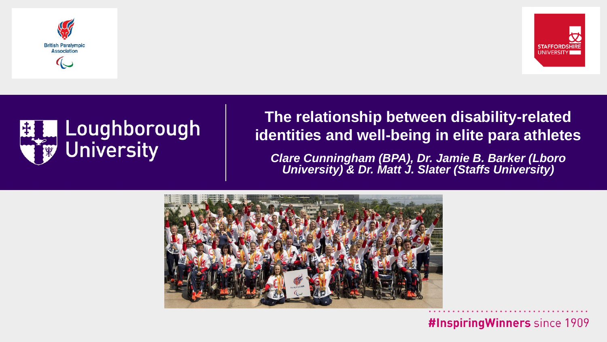





#### **The relationship between disability-related identities and well-being in elite para athletes**

*Clare Cunningham (BPA), Dr. Jamie B. Barker (Lboro University) & Dr. Matt J. Slater (Staffs University)*

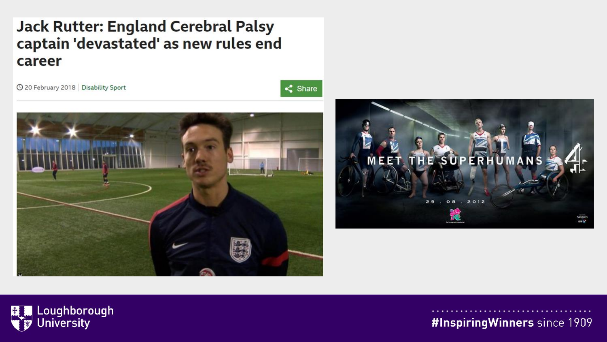#### **Jack Rutter: England Cerebral Palsy** captain 'devastated' as new rules end career

© 20 February 2018 Disability Sport



 $\leq$  Share



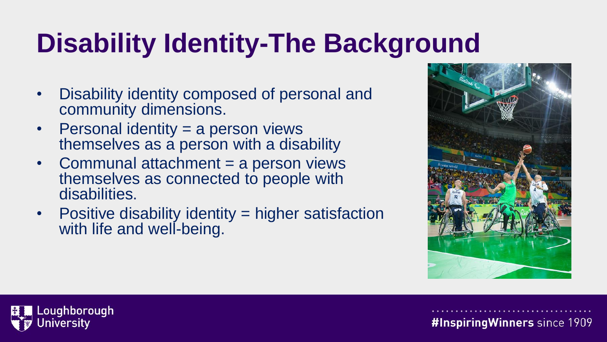# **Disability Identity-The Background**

- Disability identity composed of personal and community dimensions.
- Personal identity = a person views themselves as a person with a disability
- Communal attachment = a person views themselves as connected to people with disabilities.
- Positive disability identity = higher satisfaction with life and well-being.



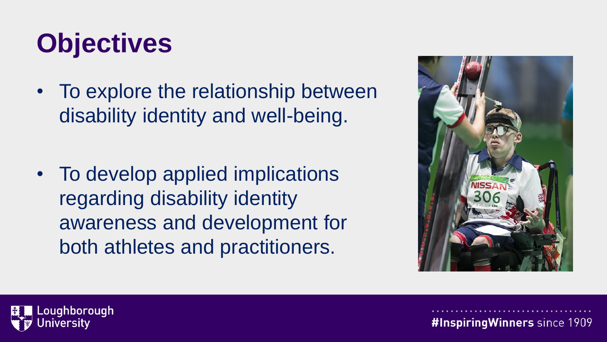## **Objectives**

• To explore the relationship between disability identity and well-being.

• To develop applied implications regarding disability identity awareness and development for both athletes and practitioners.



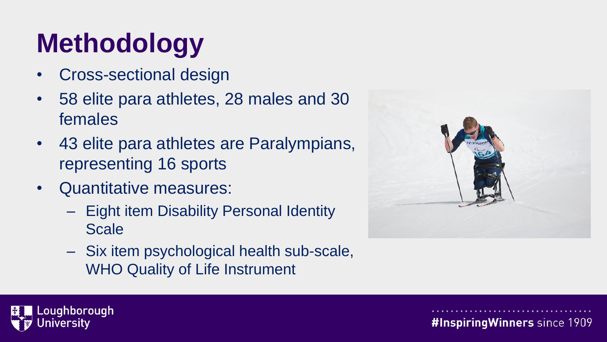# **Methodology**

- Cross-sectional design
- 58 elite para athletes, 28 males and 30 females
- 43 elite para athletes are Paralympians, representing 16 sports
- Quantitative measures:
	- Eight item Disability Personal Identity Scale
	- Six item psychological health sub-scale, WHO Quality of Life Instrument



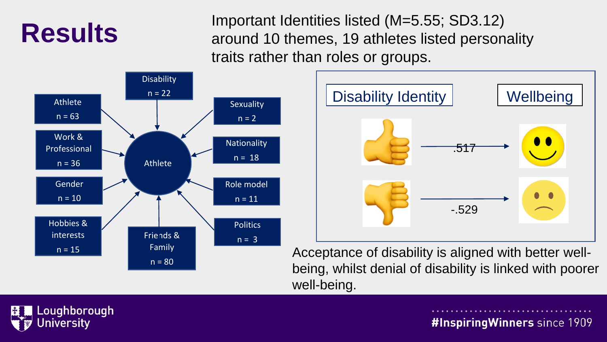### **Results**

Important Identities listed (M=5.55; SD3.12) around 10 themes, 19 athletes listed personality traits rather than roles or groups.





Acceptance of disability is aligned with better wellbeing, whilst denial of disability is linked with poorer well-being.

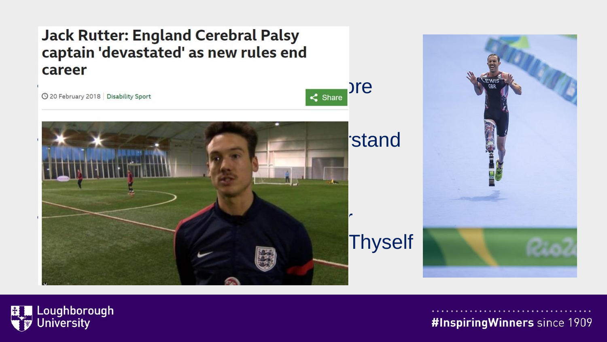#### **Jack Rutter: England Cerebral Palsy<br>captain 'devastated' as new rules end** career

en at the charge of the charge of the charge of the charge of the charge of the charge of the charge of the charge of the charge of the charge of the charge of the charge of the charge of the charge of the charge of the ch



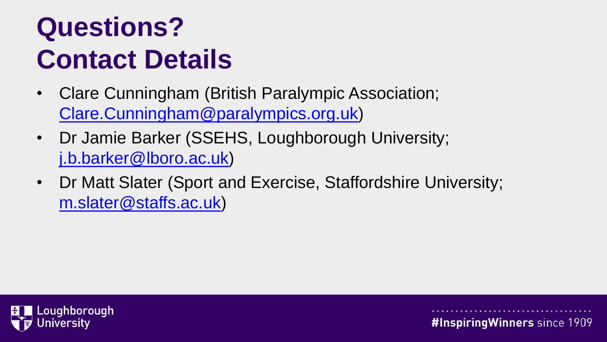## **Questions? Contact Details**

- Clare Cunningham (British Paralympic Association; [Clare.Cunningham@paralympics.org.uk](mailto:Clare.Cunningham@paralympics.org.uk))
- Dr Jamie Barker (SSEHS, Loughborough University; [j.b.barker@lboro.ac.uk\)](mailto:j.b.barker@lboro.ac.uk)
- Dr Matt Slater (Sport and Exercise, Staffordshire University; [m.slater@staffs.ac.uk](mailto:m.slater@staffs.ac.uk))